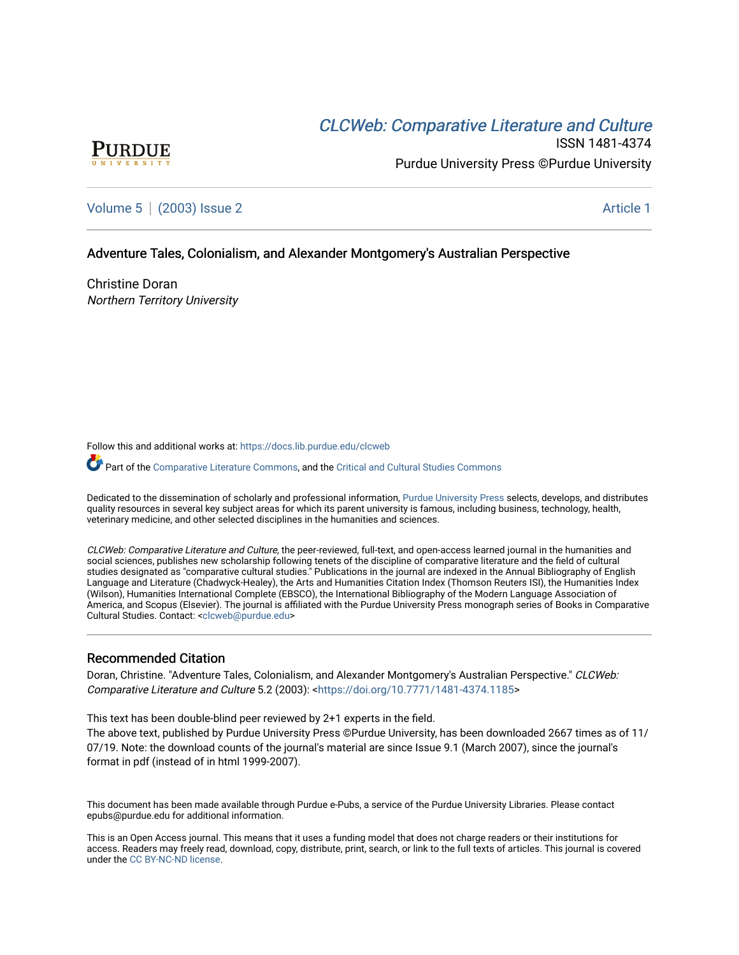# CLCW[eb: Comparative Liter](https://docs.lib.purdue.edu/clcweb)ature and Culture



ISSN 1481-4374 Purdue University Press ©Purdue University

# [Volume 5](https://docs.lib.purdue.edu/clcweb/vol5) | [\(2003\) Issue 2](https://docs.lib.purdue.edu/clcweb/vol5/iss2) Article 1

# Adventure Tales, Colonialism, and Alexander Montgomery's Australian Perspective

Christine Doran Northern Territory University

Follow this and additional works at: [https://docs.lib.purdue.edu/clcweb](https://docs.lib.purdue.edu/clcweb?utm_source=docs.lib.purdue.edu%2Fclcweb%2Fvol5%2Fiss2%2F1&utm_medium=PDF&utm_campaign=PDFCoverPages)

Part of the [Comparative Literature Commons,](http://network.bepress.com/hgg/discipline/454?utm_source=docs.lib.purdue.edu%2Fclcweb%2Fvol5%2Fiss2%2F1&utm_medium=PDF&utm_campaign=PDFCoverPages) and the Critical and Cultural Studies Commons

Dedicated to the dissemination of scholarly and professional information, [Purdue University Press](http://www.thepress.purdue.edu/) selects, develops, and distributes quality resources in several key subject areas for which its parent university is famous, including business, technology, health, veterinary medicine, and other selected disciplines in the humanities and sciences.

CLCWeb: Comparative Literature and Culture, the peer-reviewed, full-text, and open-access learned journal in the humanities and social sciences, publishes new scholarship following tenets of the discipline of comparative literature and the field of cultural studies designated as "comparative cultural studies." Publications in the journal are indexed in the Annual Bibliography of English Language and Literature (Chadwyck-Healey), the Arts and Humanities Citation Index (Thomson Reuters ISI), the Humanities Index (Wilson), Humanities International Complete (EBSCO), the International Bibliography of the Modern Language Association of America, and Scopus (Elsevier). The journal is affiliated with the Purdue University Press monograph series of Books in Comparative Cultural Studies. Contact: [<clcweb@purdue.edu](mailto:clcweb@purdue.edu)>

## Recommended Citation

Doran, Christine. "Adventure Tales, Colonialism, and Alexander Montgomery's Australian Perspective." CLCWeb: Comparative Literature and Culture 5.2 (2003): <<https://doi.org/10.7771/1481-4374.1185>>

This text has been double-blind peer reviewed by 2+1 experts in the field.

The above text, published by Purdue University Press ©Purdue University, has been downloaded 2667 times as of 11/ 07/19. Note: the download counts of the journal's material are since Issue 9.1 (March 2007), since the journal's format in pdf (instead of in html 1999-2007).

This document has been made available through Purdue e-Pubs, a service of the Purdue University Libraries. Please contact epubs@purdue.edu for additional information.

This is an Open Access journal. This means that it uses a funding model that does not charge readers or their institutions for access. Readers may freely read, download, copy, distribute, print, search, or link to the full texts of articles. This journal is covered under the [CC BY-NC-ND license.](https://creativecommons.org/licenses/by-nc-nd/4.0/)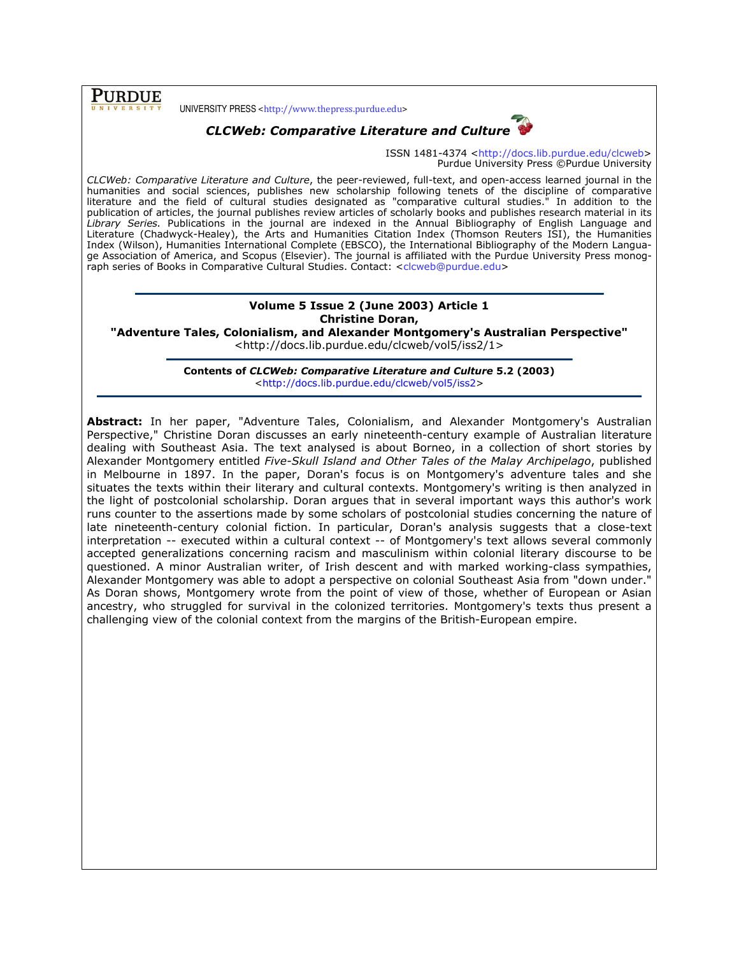**PURDUE** 

UNIVERSITY PRESS <http://www.thepress.purdue.edu>



# CLCWeb: Comparative Literature and Culture

ISSN 1481-4374 <http://docs.lib.purdue.edu/clcweb> Purdue University Press ©Purdue University

CLCWeb: Comparative Literature and Culture, the peer-reviewed, full-text, and open-access learned journal in the humanities and social sciences, publishes new scholarship following tenets of the discipline of comparative literature and the field of cultural studies designated as "comparative cultural studies." In addition to the publication of articles, the journal publishes review articles of scholarly books and publishes research material in its Library Series. Publications in the journal are indexed in the Annual Bibliography of English Language and Literature (Chadwyck-Healey), the Arts and Humanities Citation Index (Thomson Reuters ISI), the Humanities Index (Wilson), Humanities International Complete (EBSCO), the International Bibliography of the Modern Language Association of America, and Scopus (Elsevier). The journal is affiliated with the Purdue University Press monograph series of Books in Comparative Cultural Studies. Contact: <clcweb@purdue.edu>

## Volume 5 Issue 2 (June 2003) Article 1 Christine Doran,

"Adventure Tales, Colonialism, and Alexander Montgomery's Australian Perspective" <http://docs.lib.purdue.edu/clcweb/vol5/iss2/1>

> Contents of CLCWeb: Comparative Literature and Culture 5.2 (2003) <http://docs.lib.purdue.edu/clcweb/vol5/iss2>

Abstract: In her paper, "Adventure Tales, Colonialism, and Alexander Montgomery's Australian Perspective," Christine Doran discusses an early nineteenth-century example of Australian literature dealing with Southeast Asia. The text analysed is about Borneo, in a collection of short stories by Alexander Montgomery entitled Five-Skull Island and Other Tales of the Malay Archipelago, published in Melbourne in 1897. In the paper, Doran's focus is on Montgomery's adventure tales and she situates the texts within their literary and cultural contexts. Montgomery's writing is then analyzed in the light of postcolonial scholarship. Doran argues that in several important ways this author's work runs counter to the assertions made by some scholars of postcolonial studies concerning the nature of late nineteenth-century colonial fiction. In particular, Doran's analysis suggests that a close-text interpretation -- executed within a cultural context -- of Montgomery's text allows several commonly accepted generalizations concerning racism and masculinism within colonial literary discourse to be questioned. A minor Australian writer, of Irish descent and with marked working-class sympathies, Alexander Montgomery was able to adopt a perspective on colonial Southeast Asia from "down under." As Doran shows, Montgomery wrote from the point of view of those, whether of European or Asian ancestry, who struggled for survival in the colonized territories. Montgomery's texts thus present a challenging view of the colonial context from the margins of the British-European empire.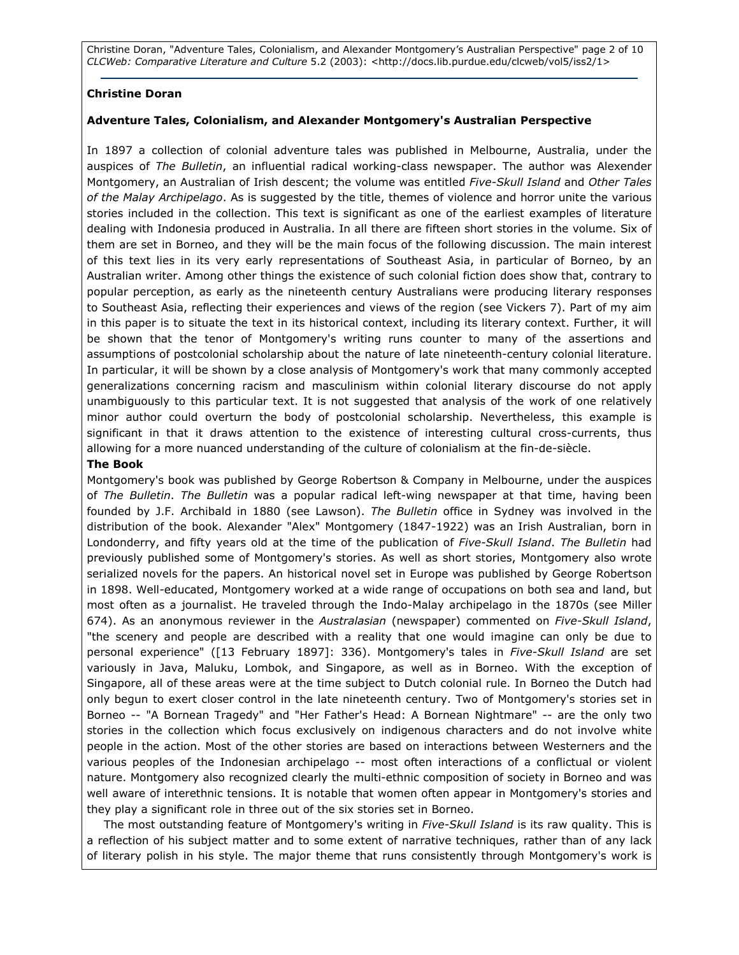Christine Doran, "Adventure Tales, Colonialism, and Alexander Montgomery's Australian Perspective" page 2 of 10 CLCWeb: Comparative Literature and Culture 5.2 (2003): <http://docs.lib.purdue.edu/clcweb/vol5/iss2/1>

#### Christine Doran

#### Adventure Tales, Colonialism, and Alexander Montgomery's Australian Perspective

In 1897 a collection of colonial adventure tales was published in Melbourne, Australia, under the auspices of The Bulletin, an influential radical working-class newspaper. The author was Alexender Montgomery, an Australian of Irish descent; the volume was entitled Five-Skull Island and Other Tales of the Malay Archipelago. As is suggested by the title, themes of violence and horror unite the various stories included in the collection. This text is significant as one of the earliest examples of literature dealing with Indonesia produced in Australia. In all there are fifteen short stories in the volume. Six of them are set in Borneo, and they will be the main focus of the following discussion. The main interest of this text lies in its very early representations of Southeast Asia, in particular of Borneo, by an Australian writer. Among other things the existence of such colonial fiction does show that, contrary to popular perception, as early as the nineteenth century Australians were producing literary responses to Southeast Asia, reflecting their experiences and views of the region (see Vickers 7). Part of my aim in this paper is to situate the text in its historical context, including its literary context. Further, it will be shown that the tenor of Montgomery's writing runs counter to many of the assertions and assumptions of postcolonial scholarship about the nature of late nineteenth-century colonial literature. In particular, it will be shown by a close analysis of Montgomery's work that many commonly accepted generalizations concerning racism and masculinism within colonial literary discourse do not apply unambiguously to this particular text. It is not suggested that analysis of the work of one relatively minor author could overturn the body of postcolonial scholarship. Nevertheless, this example is significant in that it draws attention to the existence of interesting cultural cross-currents, thus allowing for a more nuanced understanding of the culture of colonialism at the fin-de-siècle.

#### The Book

Montgomery's book was published by George Robertson & Company in Melbourne, under the auspices of The Bulletin. The Bulletin was a popular radical left-wing newspaper at that time, having been founded by J.F. Archibald in 1880 (see Lawson). The Bulletin office in Sydney was involved in the distribution of the book. Alexander "Alex" Montgomery (1847-1922) was an Irish Australian, born in Londonderry, and fifty years old at the time of the publication of Five-Skull Island. The Bulletin had previously published some of Montgomery's stories. As well as short stories, Montgomery also wrote serialized novels for the papers. An historical novel set in Europe was published by George Robertson in 1898. Well-educated, Montgomery worked at a wide range of occupations on both sea and land, but most often as a journalist. He traveled through the Indo-Malay archipelago in the 1870s (see Miller 674). As an anonymous reviewer in the Australasian (newspaper) commented on Five-Skull Island, "the scenery and people are described with a reality that one would imagine can only be due to personal experience" ([13 February 1897]: 336). Montgomery's tales in Five-Skull Island are set variously in Java, Maluku, Lombok, and Singapore, as well as in Borneo. With the exception of Singapore, all of these areas were at the time subject to Dutch colonial rule. In Borneo the Dutch had only begun to exert closer control in the late nineteenth century. Two of Montgomery's stories set in Borneo -- "A Bornean Tragedy" and "Her Father's Head: A Bornean Nightmare" -- are the only two stories in the collection which focus exclusively on indigenous characters and do not involve white people in the action. Most of the other stories are based on interactions between Westerners and the various peoples of the Indonesian archipelago -- most often interactions of a conflictual or violent nature. Montgomery also recognized clearly the multi-ethnic composition of society in Borneo and was well aware of interethnic tensions. It is notable that women often appear in Montgomery's stories and they play a significant role in three out of the six stories set in Borneo.

The most outstanding feature of Montgomery's writing in Five-Skull Island is its raw quality. This is a reflection of his subject matter and to some extent of narrative techniques, rather than of any lack of literary polish in his style. The major theme that runs consistently through Montgomery's work is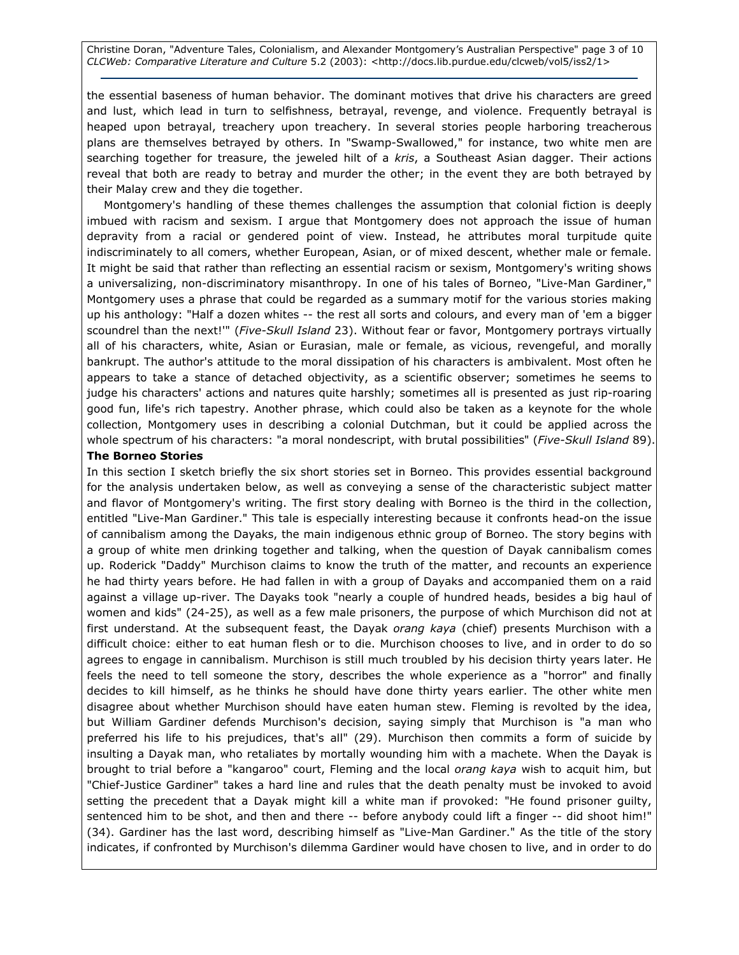Christine Doran, "Adventure Tales, Colonialism, and Alexander Montgomery's Australian Perspective" page 3 of 10 CLCWeb: Comparative Literature and Culture 5.2 (2003): <http://docs.lib.purdue.edu/clcweb/vol5/iss2/1>

the essential baseness of human behavior. The dominant motives that drive his characters are greed and lust, which lead in turn to selfishness, betrayal, revenge, and violence. Frequently betrayal is heaped upon betrayal, treachery upon treachery. In several stories people harboring treacherous plans are themselves betrayed by others. In "Swamp-Swallowed," for instance, two white men are searching together for treasure, the jeweled hilt of a kris, a Southeast Asian dagger. Their actions reveal that both are ready to betray and murder the other; in the event they are both betrayed by their Malay crew and they die together.

Montgomery's handling of these themes challenges the assumption that colonial fiction is deeply imbued with racism and sexism. I argue that Montgomery does not approach the issue of human depravity from a racial or gendered point of view. Instead, he attributes moral turpitude quite indiscriminately to all comers, whether European, Asian, or of mixed descent, whether male or female. It might be said that rather than reflecting an essential racism or sexism, Montgomery's writing shows a universalizing, non-discriminatory misanthropy. In one of his tales of Borneo, "Live-Man Gardiner," Montgomery uses a phrase that could be regarded as a summary motif for the various stories making up his anthology: "Half a dozen whites -- the rest all sorts and colours, and every man of 'em a bigger scoundrel than the next!" (Five-Skull Island 23). Without fear or favor, Montgomery portrays virtually all of his characters, white, Asian or Eurasian, male or female, as vicious, revengeful, and morally bankrupt. The author's attitude to the moral dissipation of his characters is ambivalent. Most often he appears to take a stance of detached objectivity, as a scientific observer; sometimes he seems to judge his characters' actions and natures quite harshly; sometimes all is presented as just rip-roaring good fun, life's rich tapestry. Another phrase, which could also be taken as a keynote for the whole collection, Montgomery uses in describing a colonial Dutchman, but it could be applied across the whole spectrum of his characters: "a moral nondescript, with brutal possibilities" (Five-Skull Island 89).

#### The Borneo Stories

In this section I sketch briefly the six short stories set in Borneo. This provides essential background for the analysis undertaken below, as well as conveying a sense of the characteristic subject matter and flavor of Montgomery's writing. The first story dealing with Borneo is the third in the collection, entitled "Live-Man Gardiner." This tale is especially interesting because it confronts head-on the issue of cannibalism among the Dayaks, the main indigenous ethnic group of Borneo. The story begins with a group of white men drinking together and talking, when the question of Dayak cannibalism comes up. Roderick "Daddy" Murchison claims to know the truth of the matter, and recounts an experience he had thirty years before. He had fallen in with a group of Dayaks and accompanied them on a raid against a village up-river. The Dayaks took "nearly a couple of hundred heads, besides a big haul of women and kids" (24-25), as well as a few male prisoners, the purpose of which Murchison did not at first understand. At the subsequent feast, the Dayak orang kaya (chief) presents Murchison with a difficult choice: either to eat human flesh or to die. Murchison chooses to live, and in order to do so agrees to engage in cannibalism. Murchison is still much troubled by his decision thirty years later. He feels the need to tell someone the story, describes the whole experience as a "horror" and finally decides to kill himself, as he thinks he should have done thirty years earlier. The other white men disagree about whether Murchison should have eaten human stew. Fleming is revolted by the idea, but William Gardiner defends Murchison's decision, saying simply that Murchison is "a man who preferred his life to his prejudices, that's all" (29). Murchison then commits a form of suicide by insulting a Dayak man, who retaliates by mortally wounding him with a machete. When the Dayak is brought to trial before a "kangaroo" court, Fleming and the local orang kaya wish to acquit him, but "Chief-Justice Gardiner" takes a hard line and rules that the death penalty must be invoked to avoid setting the precedent that a Dayak might kill a white man if provoked: "He found prisoner guilty, sentenced him to be shot, and then and there -- before anybody could lift a finger -- did shoot him!" (34). Gardiner has the last word, describing himself as "Live-Man Gardiner." As the title of the story indicates, if confronted by Murchison's dilemma Gardiner would have chosen to live, and in order to do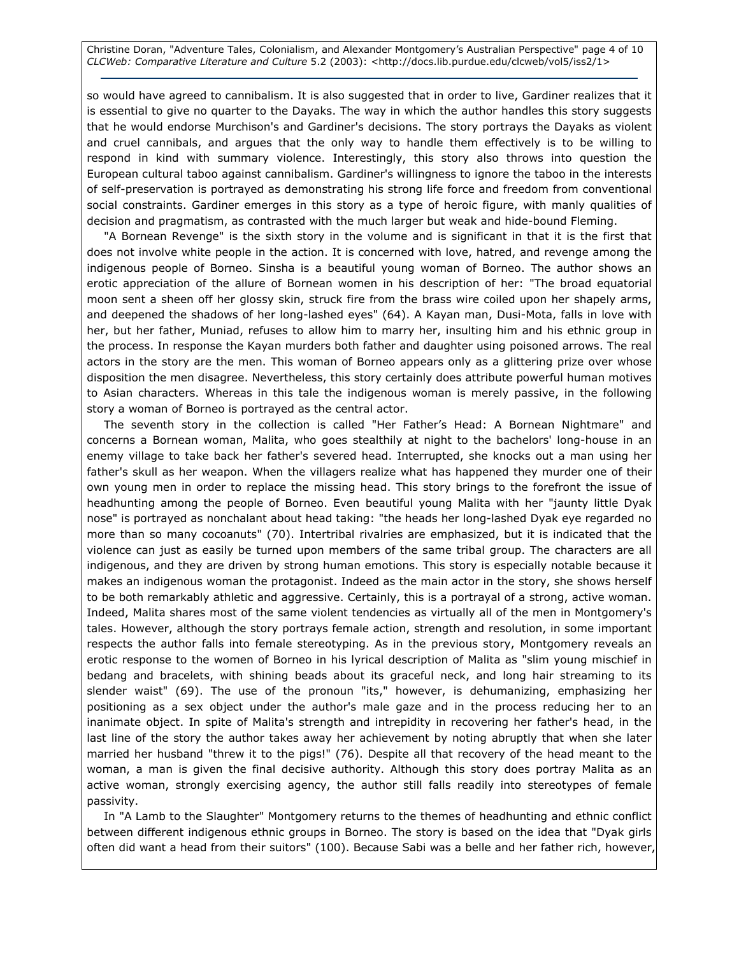Christine Doran, "Adventure Tales, Colonialism, and Alexander Montgomery's Australian Perspective" page 4 of 10 CLCWeb: Comparative Literature and Culture 5.2 (2003): <http://docs.lib.purdue.edu/clcweb/vol5/iss2/1>

so would have agreed to cannibalism. It is also suggested that in order to live, Gardiner realizes that it is essential to give no quarter to the Dayaks. The way in which the author handles this story suggests that he would endorse Murchison's and Gardiner's decisions. The story portrays the Dayaks as violent and cruel cannibals, and argues that the only way to handle them effectively is to be willing to respond in kind with summary violence. Interestingly, this story also throws into question the European cultural taboo against cannibalism. Gardiner's willingness to ignore the taboo in the interests of self-preservation is portrayed as demonstrating his strong life force and freedom from conventional social constraints. Gardiner emerges in this story as a type of heroic figure, with manly qualities of decision and pragmatism, as contrasted with the much larger but weak and hide-bound Fleming.

"A Bornean Revenge" is the sixth story in the volume and is significant in that it is the first that does not involve white people in the action. It is concerned with love, hatred, and revenge among the indigenous people of Borneo. Sinsha is a beautiful young woman of Borneo. The author shows an erotic appreciation of the allure of Bornean women in his description of her: "The broad equatorial moon sent a sheen off her glossy skin, struck fire from the brass wire coiled upon her shapely arms, and deepened the shadows of her long-lashed eyes" (64). A Kayan man, Dusi-Mota, falls in love with her, but her father, Muniad, refuses to allow him to marry her, insulting him and his ethnic group in the process. In response the Kayan murders both father and daughter using poisoned arrows. The real actors in the story are the men. This woman of Borneo appears only as a glittering prize over whose disposition the men disagree. Nevertheless, this story certainly does attribute powerful human motives to Asian characters. Whereas in this tale the indigenous woman is merely passive, in the following story a woman of Borneo is portrayed as the central actor.

The seventh story in the collection is called "Her Father's Head: A Bornean Nightmare" and concerns a Bornean woman, Malita, who goes stealthily at night to the bachelors' long-house in an enemy village to take back her father's severed head. Interrupted, she knocks out a man using her father's skull as her weapon. When the villagers realize what has happened they murder one of their own young men in order to replace the missing head. This story brings to the forefront the issue of headhunting among the people of Borneo. Even beautiful young Malita with her "jaunty little Dyak nose" is portrayed as nonchalant about head taking: "the heads her long-lashed Dyak eye regarded no more than so many cocoanuts" (70). Intertribal rivalries are emphasized, but it is indicated that the violence can just as easily be turned upon members of the same tribal group. The characters are all indigenous, and they are driven by strong human emotions. This story is especially notable because it makes an indigenous woman the protagonist. Indeed as the main actor in the story, she shows herself to be both remarkably athletic and aggressive. Certainly, this is a portrayal of a strong, active woman. Indeed, Malita shares most of the same violent tendencies as virtually all of the men in Montgomery's tales. However, although the story portrays female action, strength and resolution, in some important respects the author falls into female stereotyping. As in the previous story, Montgomery reveals an erotic response to the women of Borneo in his lyrical description of Malita as "slim young mischief in bedang and bracelets, with shining beads about its graceful neck, and long hair streaming to its slender waist" (69). The use of the pronoun "its," however, is dehumanizing, emphasizing her positioning as a sex object under the author's male gaze and in the process reducing her to an inanimate object. In spite of Malita's strength and intrepidity in recovering her father's head, in the last line of the story the author takes away her achievement by noting abruptly that when she later married her husband "threw it to the pigs!" (76). Despite all that recovery of the head meant to the woman, a man is given the final decisive authority. Although this story does portray Malita as an active woman, strongly exercising agency, the author still falls readily into stereotypes of female passivity.

In "A Lamb to the Slaughter" Montgomery returns to the themes of headhunting and ethnic conflict between different indigenous ethnic groups in Borneo. The story is based on the idea that "Dyak girls often did want a head from their suitors" (100). Because Sabi was a belle and her father rich, however,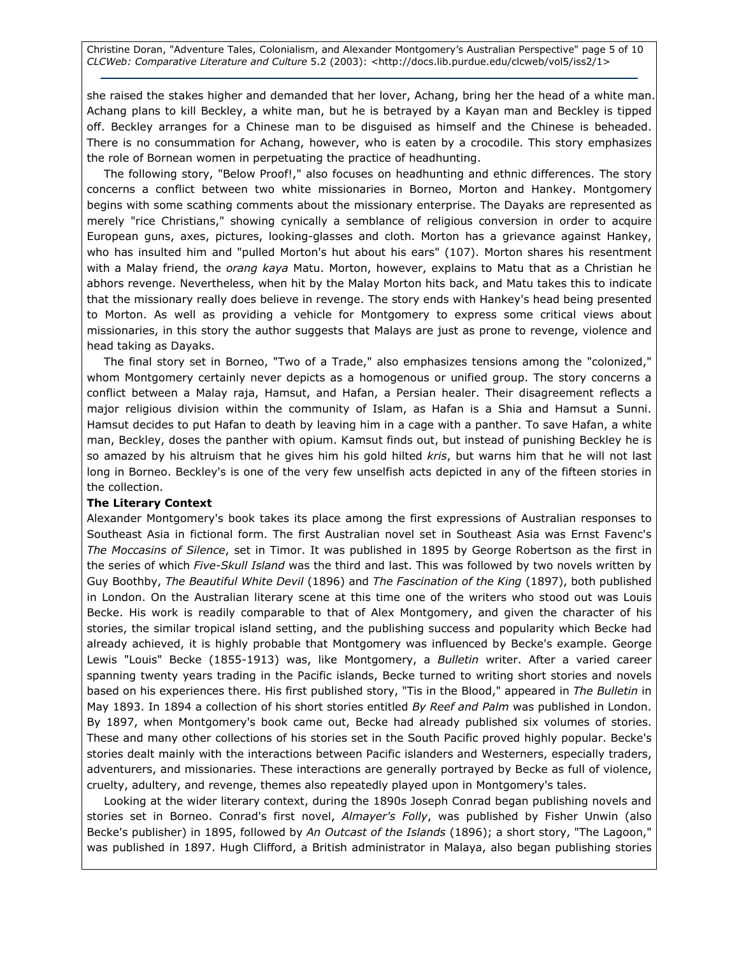Christine Doran, "Adventure Tales, Colonialism, and Alexander Montgomery's Australian Perspective" page 5 of 10 CLCWeb: Comparative Literature and Culture 5.2 (2003): <http://docs.lib.purdue.edu/clcweb/vol5/iss2/1>

she raised the stakes higher and demanded that her lover, Achang, bring her the head of a white man. Achang plans to kill Beckley, a white man, but he is betrayed by a Kayan man and Beckley is tipped off. Beckley arranges for a Chinese man to be disguised as himself and the Chinese is beheaded. There is no consummation for Achang, however, who is eaten by a crocodile. This story emphasizes the role of Bornean women in perpetuating the practice of headhunting.

The following story, "Below Proof!," also focuses on headhunting and ethnic differences. The story concerns a conflict between two white missionaries in Borneo, Morton and Hankey. Montgomery begins with some scathing comments about the missionary enterprise. The Dayaks are represented as merely "rice Christians," showing cynically a semblance of religious conversion in order to acquire European guns, axes, pictures, looking-glasses and cloth. Morton has a grievance against Hankey, who has insulted him and "pulled Morton's hut about his ears" (107). Morton shares his resentment with a Malay friend, the *orang kaya* Matu. Morton, however, explains to Matu that as a Christian he abhors revenge. Nevertheless, when hit by the Malay Morton hits back, and Matu takes this to indicate that the missionary really does believe in revenge. The story ends with Hankey's head being presented to Morton. As well as providing a vehicle for Montgomery to express some critical views about missionaries, in this story the author suggests that Malays are just as prone to revenge, violence and head taking as Dayaks.

The final story set in Borneo, "Two of a Trade," also emphasizes tensions among the "colonized," whom Montgomery certainly never depicts as a homogenous or unified group. The story concerns a conflict between a Malay raja, Hamsut, and Hafan, a Persian healer. Their disagreement reflects a major religious division within the community of Islam, as Hafan is a Shia and Hamsut a Sunni. Hamsut decides to put Hafan to death by leaving him in a cage with a panther. To save Hafan, a white man, Beckley, doses the panther with opium. Kamsut finds out, but instead of punishing Beckley he is so amazed by his altruism that he gives him his gold hilted kris, but warns him that he will not last long in Borneo. Beckley's is one of the very few unselfish acts depicted in any of the fifteen stories in the collection.

#### The Literary Context

Alexander Montgomery's book takes its place among the first expressions of Australian responses to Southeast Asia in fictional form. The first Australian novel set in Southeast Asia was Ernst Favenc's The Moccasins of Silence, set in Timor. It was published in 1895 by George Robertson as the first in the series of which Five-Skull Island was the third and last. This was followed by two novels written by Guy Boothby, The Beautiful White Devil (1896) and The Fascination of the King (1897), both published in London. On the Australian literary scene at this time one of the writers who stood out was Louis Becke. His work is readily comparable to that of Alex Montgomery, and given the character of his stories, the similar tropical island setting, and the publishing success and popularity which Becke had already achieved, it is highly probable that Montgomery was influenced by Becke's example. George Lewis "Louis" Becke (1855-1913) was, like Montgomery, a Bulletin writer. After a varied career spanning twenty years trading in the Pacific islands, Becke turned to writing short stories and novels based on his experiences there. His first published story, "Tis in the Blood," appeared in The Bulletin in May 1893. In 1894 a collection of his short stories entitled By Reef and Palm was published in London. By 1897, when Montgomery's book came out, Becke had already published six volumes of stories. These and many other collections of his stories set in the South Pacific proved highly popular. Becke's stories dealt mainly with the interactions between Pacific islanders and Westerners, especially traders, adventurers, and missionaries. These interactions are generally portrayed by Becke as full of violence, cruelty, adultery, and revenge, themes also repeatedly played upon in Montgomery's tales.

Looking at the wider literary context, during the 1890s Joseph Conrad began publishing novels and stories set in Borneo. Conrad's first novel, Almayer's Folly, was published by Fisher Unwin (also Becke's publisher) in 1895, followed by An Outcast of the Islands (1896); a short story, "The Lagoon," was published in 1897. Hugh Clifford, a British administrator in Malaya, also began publishing stories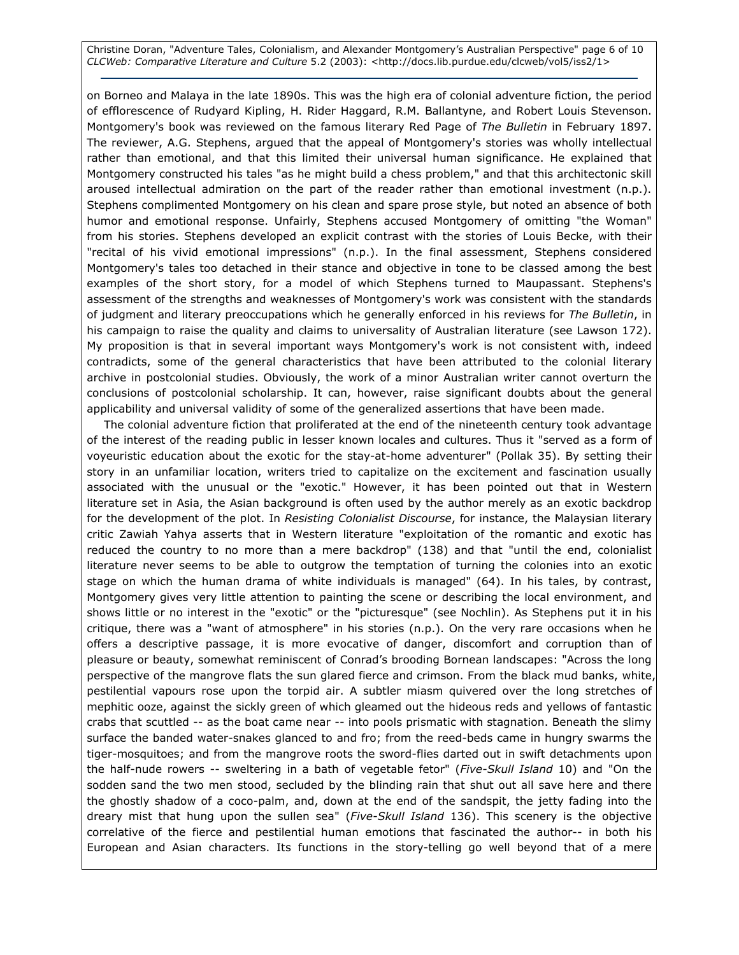Christine Doran, "Adventure Tales, Colonialism, and Alexander Montgomery's Australian Perspective" page 6 of 10 CLCWeb: Comparative Literature and Culture 5.2 (2003): <http://docs.lib.purdue.edu/clcweb/vol5/iss2/1>

on Borneo and Malaya in the late 1890s. This was the high era of colonial adventure fiction, the period of efflorescence of Rudyard Kipling, H. Rider Haggard, R.M. Ballantyne, and Robert Louis Stevenson. Montgomery's book was reviewed on the famous literary Red Page of The Bulletin in February 1897. The reviewer, A.G. Stephens, argued that the appeal of Montgomery's stories was wholly intellectual rather than emotional, and that this limited their universal human significance. He explained that Montgomery constructed his tales "as he might build a chess problem," and that this architectonic skill aroused intellectual admiration on the part of the reader rather than emotional investment (n.p.). Stephens complimented Montgomery on his clean and spare prose style, but noted an absence of both humor and emotional response. Unfairly, Stephens accused Montgomery of omitting "the Woman" from his stories. Stephens developed an explicit contrast with the stories of Louis Becke, with their "recital of his vivid emotional impressions" (n.p.). In the final assessment, Stephens considered Montgomery's tales too detached in their stance and objective in tone to be classed among the best examples of the short story, for a model of which Stephens turned to Maupassant. Stephens's assessment of the strengths and weaknesses of Montgomery's work was consistent with the standards of judgment and literary preoccupations which he generally enforced in his reviews for The Bulletin, in his campaign to raise the quality and claims to universality of Australian literature (see Lawson 172). My proposition is that in several important ways Montgomery's work is not consistent with, indeed contradicts, some of the general characteristics that have been attributed to the colonial literary archive in postcolonial studies. Obviously, the work of a minor Australian writer cannot overturn the conclusions of postcolonial scholarship. It can, however, raise significant doubts about the general applicability and universal validity of some of the generalized assertions that have been made.

The colonial adventure fiction that proliferated at the end of the nineteenth century took advantage of the interest of the reading public in lesser known locales and cultures. Thus it "served as a form of voyeuristic education about the exotic for the stay-at-home adventurer" (Pollak 35). By setting their story in an unfamiliar location, writers tried to capitalize on the excitement and fascination usually associated with the unusual or the "exotic." However, it has been pointed out that in Western literature set in Asia, the Asian background is often used by the author merely as an exotic backdrop for the development of the plot. In Resisting Colonialist Discourse, for instance, the Malaysian literary critic Zawiah Yahya asserts that in Western literature "exploitation of the romantic and exotic has reduced the country to no more than a mere backdrop" (138) and that "until the end, colonialist literature never seems to be able to outgrow the temptation of turning the colonies into an exotic stage on which the human drama of white individuals is managed" (64). In his tales, by contrast, Montgomery gives very little attention to painting the scene or describing the local environment, and shows little or no interest in the "exotic" or the "picturesque" (see Nochlin). As Stephens put it in his critique, there was a "want of atmosphere" in his stories (n.p.). On the very rare occasions when he offers a descriptive passage, it is more evocative of danger, discomfort and corruption than of pleasure or beauty, somewhat reminiscent of Conrad's brooding Bornean landscapes: "Across the long perspective of the mangrove flats the sun glared fierce and crimson. From the black mud banks, white, pestilential vapours rose upon the torpid air. A subtler miasm quivered over the long stretches of mephitic ooze, against the sickly green of which gleamed out the hideous reds and yellows of fantastic crabs that scuttled -- as the boat came near -- into pools prismatic with stagnation. Beneath the slimy surface the banded water-snakes glanced to and fro; from the reed-beds came in hungry swarms the tiger-mosquitoes; and from the mangrove roots the sword-flies darted out in swift detachments upon the half-nude rowers -- sweltering in a bath of vegetable fetor" (Five-Skull Island 10) and "On the sodden sand the two men stood, secluded by the blinding rain that shut out all save here and there the ghostly shadow of a coco-palm, and, down at the end of the sandspit, the jetty fading into the dreary mist that hung upon the sullen sea" (Five-Skull Island 136). This scenery is the objective correlative of the fierce and pestilential human emotions that fascinated the author-- in both his European and Asian characters. Its functions in the story-telling go well beyond that of a mere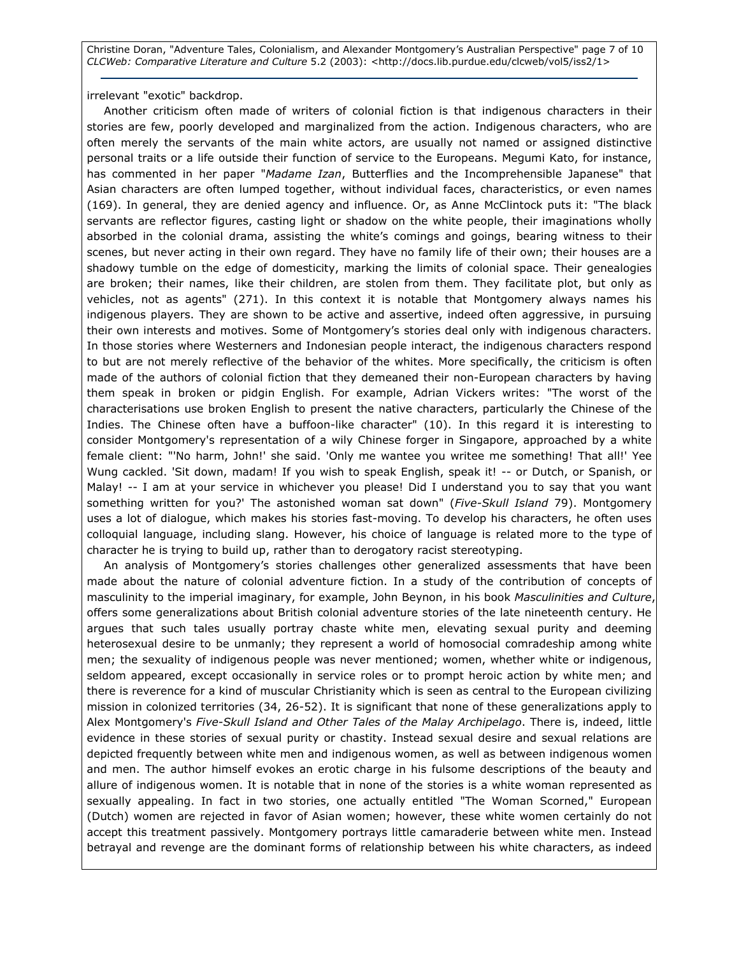Christine Doran, "Adventure Tales, Colonialism, and Alexander Montgomery's Australian Perspective" page 7 of 10 CLCWeb: Comparative Literature and Culture 5.2 (2003): <http://docs.lib.purdue.edu/clcweb/vol5/iss2/1>

irrelevant "exotic" backdrop.

Another criticism often made of writers of colonial fiction is that indigenous characters in their stories are few, poorly developed and marginalized from the action. Indigenous characters, who are often merely the servants of the main white actors, are usually not named or assigned distinctive personal traits or a life outside their function of service to the Europeans. Megumi Kato, for instance, has commented in her paper "Madame Izan, Butterflies and the Incomprehensible Japanese" that Asian characters are often lumped together, without individual faces, characteristics, or even names (169). In general, they are denied agency and influence. Or, as Anne McClintock puts it: "The black servants are reflector figures, casting light or shadow on the white people, their imaginations wholly absorbed in the colonial drama, assisting the white's comings and goings, bearing witness to their scenes, but never acting in their own regard. They have no family life of their own; their houses are a shadowy tumble on the edge of domesticity, marking the limits of colonial space. Their genealogies are broken; their names, like their children, are stolen from them. They facilitate plot, but only as vehicles, not as agents" (271). In this context it is notable that Montgomery always names his indigenous players. They are shown to be active and assertive, indeed often aggressive, in pursuing their own interests and motives. Some of Montgomery's stories deal only with indigenous characters. In those stories where Westerners and Indonesian people interact, the indigenous characters respond to but are not merely reflective of the behavior of the whites. More specifically, the criticism is often made of the authors of colonial fiction that they demeaned their non-European characters by having them speak in broken or pidgin English. For example, Adrian Vickers writes: "The worst of the characterisations use broken English to present the native characters, particularly the Chinese of the Indies. The Chinese often have a buffoon-like character" (10). In this regard it is interesting to consider Montgomery's representation of a wily Chinese forger in Singapore, approached by a white female client: "'No harm, John!' she said. 'Only me wantee you writee me something! That all!' Yee Wung cackled. 'Sit down, madam! If you wish to speak English, speak it! -- or Dutch, or Spanish, or Malay! -- I am at your service in whichever you please! Did I understand you to say that you want something written for you?' The astonished woman sat down" (Five-Skull Island 79). Montgomery uses a lot of dialogue, which makes his stories fast-moving. To develop his characters, he often uses colloquial language, including slang. However, his choice of language is related more to the type of character he is trying to build up, rather than to derogatory racist stereotyping.

An analysis of Montgomery's stories challenges other generalized assessments that have been made about the nature of colonial adventure fiction. In a study of the contribution of concepts of masculinity to the imperial imaginary, for example, John Beynon, in his book Masculinities and Culture, offers some generalizations about British colonial adventure stories of the late nineteenth century. He argues that such tales usually portray chaste white men, elevating sexual purity and deeming heterosexual desire to be unmanly; they represent a world of homosocial comradeship among white men; the sexuality of indigenous people was never mentioned; women, whether white or indigenous, seldom appeared, except occasionally in service roles or to prompt heroic action by white men; and there is reverence for a kind of muscular Christianity which is seen as central to the European civilizing mission in colonized territories (34, 26-52). It is significant that none of these generalizations apply to Alex Montgomery's Five-Skull Island and Other Tales of the Malay Archipelago. There is, indeed, little evidence in these stories of sexual purity or chastity. Instead sexual desire and sexual relations are depicted frequently between white men and indigenous women, as well as between indigenous women and men. The author himself evokes an erotic charge in his fulsome descriptions of the beauty and allure of indigenous women. It is notable that in none of the stories is a white woman represented as sexually appealing. In fact in two stories, one actually entitled "The Woman Scorned," European (Dutch) women are rejected in favor of Asian women; however, these white women certainly do not accept this treatment passively. Montgomery portrays little camaraderie between white men. Instead betrayal and revenge are the dominant forms of relationship between his white characters, as indeed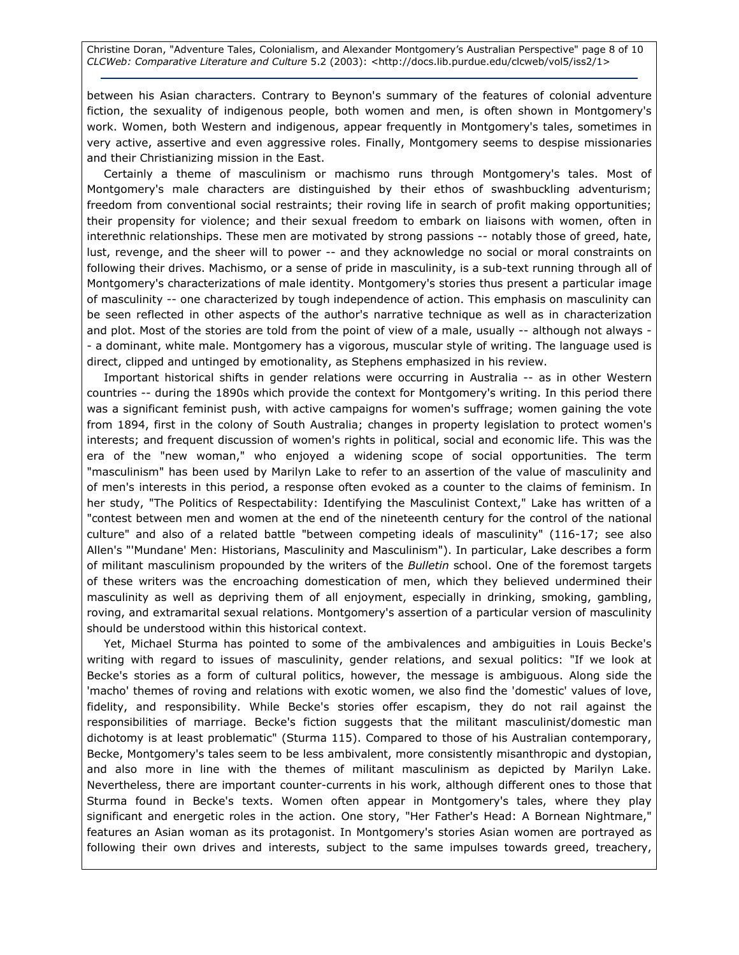Christine Doran, "Adventure Tales, Colonialism, and Alexander Montgomery's Australian Perspective" page 8 of 10 CLCWeb: Comparative Literature and Culture 5.2 (2003): <http://docs.lib.purdue.edu/clcweb/vol5/iss2/1>

between his Asian characters. Contrary to Beynon's summary of the features of colonial adventure fiction, the sexuality of indigenous people, both women and men, is often shown in Montgomery's work. Women, both Western and indigenous, appear frequently in Montgomery's tales, sometimes in very active, assertive and even aggressive roles. Finally, Montgomery seems to despise missionaries and their Christianizing mission in the East.

Certainly a theme of masculinism or machismo runs through Montgomery's tales. Most of Montgomery's male characters are distinguished by their ethos of swashbuckling adventurism; freedom from conventional social restraints; their roving life in search of profit making opportunities; their propensity for violence; and their sexual freedom to embark on liaisons with women, often in interethnic relationships. These men are motivated by strong passions -- notably those of greed, hate, lust, revenge, and the sheer will to power -- and they acknowledge no social or moral constraints on following their drives. Machismo, or a sense of pride in masculinity, is a sub-text running through all of Montgomery's characterizations of male identity. Montgomery's stories thus present a particular image of masculinity -- one characterized by tough independence of action. This emphasis on masculinity can be seen reflected in other aspects of the author's narrative technique as well as in characterization and plot. Most of the stories are told from the point of view of a male, usually -- although not always -- a dominant, white male. Montgomery has a vigorous, muscular style of writing. The language used is direct, clipped and untinged by emotionality, as Stephens emphasized in his review.

Important historical shifts in gender relations were occurring in Australia -- as in other Western countries -- during the 1890s which provide the context for Montgomery's writing. In this period there was a significant feminist push, with active campaigns for women's suffrage; women gaining the vote from 1894, first in the colony of South Australia; changes in property legislation to protect women's interests; and frequent discussion of women's rights in political, social and economic life. This was the era of the "new woman," who enjoyed a widening scope of social opportunities. The term "masculinism" has been used by Marilyn Lake to refer to an assertion of the value of masculinity and of men's interests in this period, a response often evoked as a counter to the claims of feminism. In her study, "The Politics of Respectability: Identifying the Masculinist Context," Lake has written of a "contest between men and women at the end of the nineteenth century for the control of the national culture" and also of a related battle "between competing ideals of masculinity" (116-17; see also Allen's "'Mundane' Men: Historians, Masculinity and Masculinism"). In particular, Lake describes a form of militant masculinism propounded by the writers of the Bulletin school. One of the foremost targets of these writers was the encroaching domestication of men, which they believed undermined their masculinity as well as depriving them of all enjoyment, especially in drinking, smoking, gambling, roving, and extramarital sexual relations. Montgomery's assertion of a particular version of masculinity should be understood within this historical context.

Yet, Michael Sturma has pointed to some of the ambivalences and ambiguities in Louis Becke's writing with regard to issues of masculinity, gender relations, and sexual politics: "If we look at Becke's stories as a form of cultural politics, however, the message is ambiguous. Along side the 'macho' themes of roving and relations with exotic women, we also find the 'domestic' values of love, fidelity, and responsibility. While Becke's stories offer escapism, they do not rail against the responsibilities of marriage. Becke's fiction suggests that the militant masculinist/domestic man dichotomy is at least problematic" (Sturma 115). Compared to those of his Australian contemporary, Becke, Montgomery's tales seem to be less ambivalent, more consistently misanthropic and dystopian, and also more in line with the themes of militant masculinism as depicted by Marilyn Lake. Nevertheless, there are important counter-currents in his work, although different ones to those that Sturma found in Becke's texts. Women often appear in Montgomery's tales, where they play significant and energetic roles in the action. One story, "Her Father's Head: A Bornean Nightmare," features an Asian woman as its protagonist. In Montgomery's stories Asian women are portrayed as following their own drives and interests, subject to the same impulses towards greed, treachery,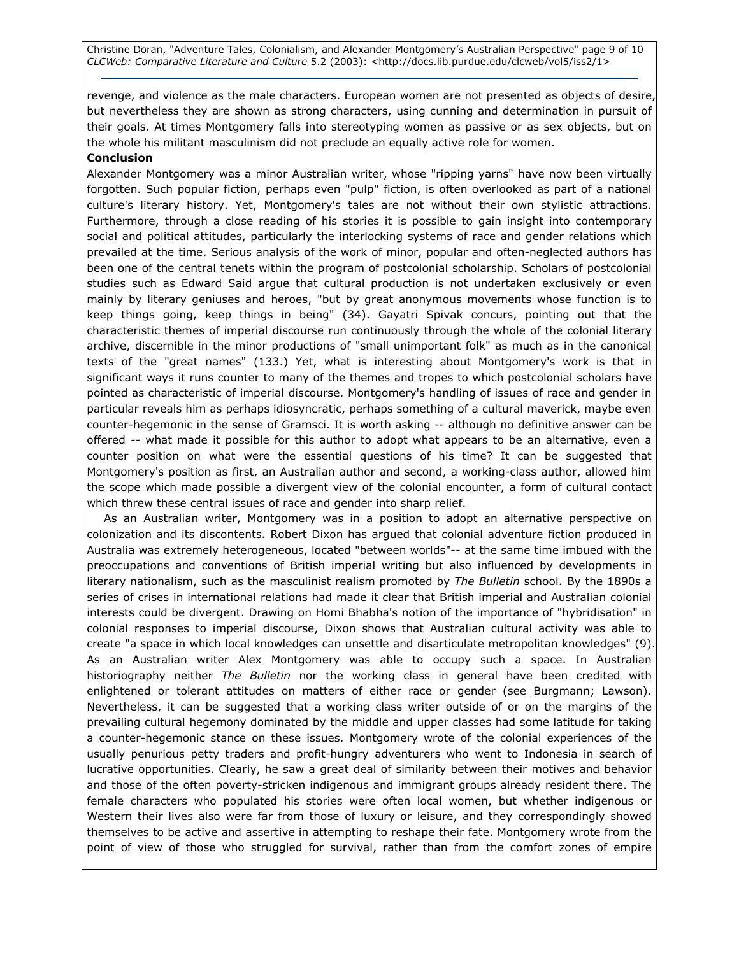Christine Doran, "Adventure Tales, Colonialism, and Alexander Montgomery's Australian Perspective" page 9 of 10 CLCWeb: Comparative Literature and Culture 5.2 (2003): <http://docs.lib.purdue.edu/clcweb/vol5/iss2/1>

revenge, and violence as the male characters. European women are not presented as objects of desire, but nevertheless they are shown as strong characters, using cunning and determination in pursuit of their goals. At times Montgomery falls into stereotyping women as passive or as sex objects, but on the whole his militant masculinism did not preclude an equally active role for women.

# Conclusion

Alexander Montgomery was a minor Australian writer, whose "ripping yarns" have now been virtually forgotten. Such popular fiction, perhaps even "pulp" fiction, is often overlooked as part of a national culture's literary history. Yet, Montgomery's tales are not without their own stylistic attractions. Furthermore, through a close reading of his stories it is possible to gain insight into contemporary social and political attitudes, particularly the interlocking systems of race and gender relations which prevailed at the time. Serious analysis of the work of minor, popular and often-neglected authors has been one of the central tenets within the program of postcolonial scholarship. Scholars of postcolonial studies such as Edward Said argue that cultural production is not undertaken exclusively or even mainly by literary geniuses and heroes, "but by great anonymous movements whose function is to keep things going, keep things in being" (34). Gayatri Spivak concurs, pointing out that the characteristic themes of imperial discourse run continuously through the whole of the colonial literary archive, discernible in the minor productions of "small unimportant folk" as much as in the canonical texts of the "great names" (133.) Yet, what is interesting about Montgomery's work is that in significant ways it runs counter to many of the themes and tropes to which postcolonial scholars have pointed as characteristic of imperial discourse. Montgomery's handling of issues of race and gender in particular reveals him as perhaps idiosyncratic, perhaps something of a cultural maverick, maybe even counter-hegemonic in the sense of Gramsci. It is worth asking -- although no definitive answer can be offered -- what made it possible for this author to adopt what appears to be an alternative, even a counter position on what were the essential questions of his time? It can be suggested that Montgomery's position as first, an Australian author and second, a working-class author, allowed him the scope which made possible a divergent view of the colonial encounter, a form of cultural contact which threw these central issues of race and gender into sharp relief.

As an Australian writer, Montgomery was in a position to adopt an alternative perspective on colonization and its discontents. Robert Dixon has argued that colonial adventure fiction produced in Australia was extremely heterogeneous, located "between worlds"-- at the same time imbued with the preoccupations and conventions of British imperial writing but also influenced by developments in literary nationalism, such as the masculinist realism promoted by The Bulletin school. By the 1890s a series of crises in international relations had made it clear that British imperial and Australian colonial interests could be divergent. Drawing on Homi Bhabha's notion of the importance of "hybridisation" in colonial responses to imperial discourse, Dixon shows that Australian cultural activity was able to create "a space in which local knowledges can unsettle and disarticulate metropolitan knowledges" (9). As an Australian writer Alex Montgomery was able to occupy such a space. In Australian historiography neither The Bulletin nor the working class in general have been credited with enlightened or tolerant attitudes on matters of either race or gender (see Burgmann; Lawson). Nevertheless, it can be suggested that a working class writer outside of or on the margins of the prevailing cultural hegemony dominated by the middle and upper classes had some latitude for taking a counter-hegemonic stance on these issues. Montgomery wrote of the colonial experiences of the usually penurious petty traders and profit-hungry adventurers who went to Indonesia in search of lucrative opportunities. Clearly, he saw a great deal of similarity between their motives and behavior and those of the often poverty-stricken indigenous and immigrant groups already resident there. The female characters who populated his stories were often local women, but whether indigenous or Western their lives also were far from those of luxury or leisure, and they correspondingly showed themselves to be active and assertive in attempting to reshape their fate. Montgomery wrote from the point of view of those who struggled for survival, rather than from the comfort zones of empire